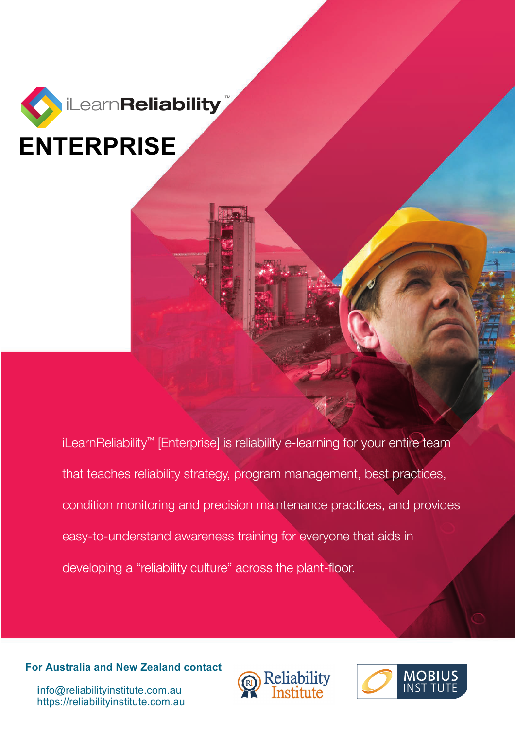

iLearnReliability™ [Enterprise] is reliability e-learning for your entire team that teaches reliability strategy, program management, best practices, condition monitoring and precision maintenance practices, and provides easy-to-understand awareness training for everyone that aids in developing a "reliability culture" across the plant-floor.

**For Australia and New Zealand contact** 





 **i**nfo@reliabilityinstitute.com.au https://reliabilityinstitute.com.au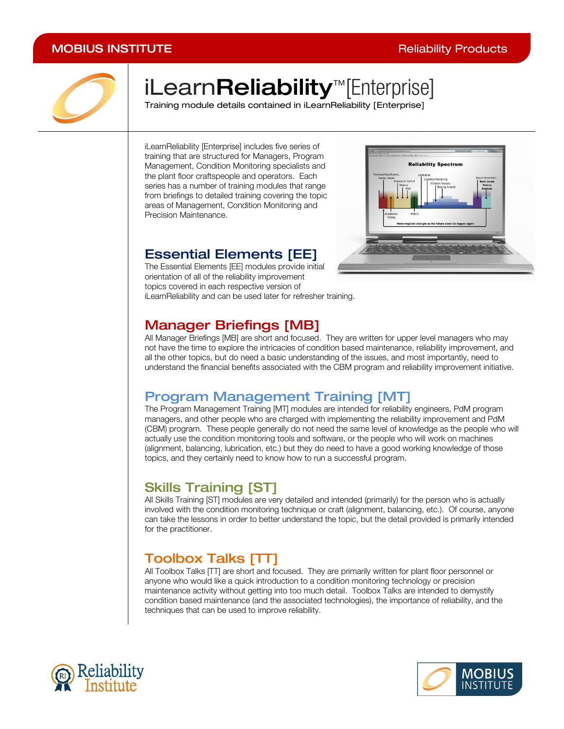

# iLearnReliability<sup>™</sup>[Enterprise]

Training module details contained in iLearnReliability [Enterprise]

iLearnReliability [Enterprise] includes five series of training that are structured for Managers, Program Management, Condition Monitoring specialists and the plant floor craftspeople and operators. Each series has a number of training modules that range from briefings to detailed training covering the topic areas of Management, Condition Monitoring and Precision Maintenance.

### **Essential Elements [EE]**

The Essential Elements [EE] modules provide initial orientation of all of the reliability improvement topics covered in each respective version of iLearnReliability and can be used later for refresher training.



### *1B*Manager Briefings [MB]

All Manager Briefings [MB] are short and focused. They are written for upper level managers who may not have the time to explore the intricacies of condition based maintenance, reliability improvement, and all the other topics, but do need a basic understanding of the issues, and most importantly, need to understand the financial benefits associated with the CBM program and reliability improvement initiative.

### **Program Management Training [MT]**

The Program Management Training [MT] modules are intended for reliability engineers, PdM program managers, and other people who are charged with implementing the reliability improvement and PdM (CBM) program. These people generally do not need the same level of knowledge as the people who will actually use the condition monitoring tools and software, or the people who will work on machines (alignment, balancing, lubrication, etc.) but they do need to have a good working knowledge of those topics, and they certainly need to know how to run a successful program.

### **Skills Training [ST]**

All Skills Training [ST] modules are very detailed and intended (primarily) for the person who is actually involved with the condition monitoring technique or craft (alignment, balancing, etc.). Of course, anyone can take the lessons in order to better understand the topic, but the detail provided is primarily intended for the practitioner.

# *4B*Toolbox Talks [TT]

All Toolbox Talks [TT] are short and focused. They are primarily written for plant floor personnel or anyone who would like a quick introduction to a condition monitoring technology or precision maintenance activity without getting into too much detail. Toolbox Talks are intended to demystify condition based maintenance (and the associated technologies), the importance of reliability, and the techniques that can be used to improve reliability.



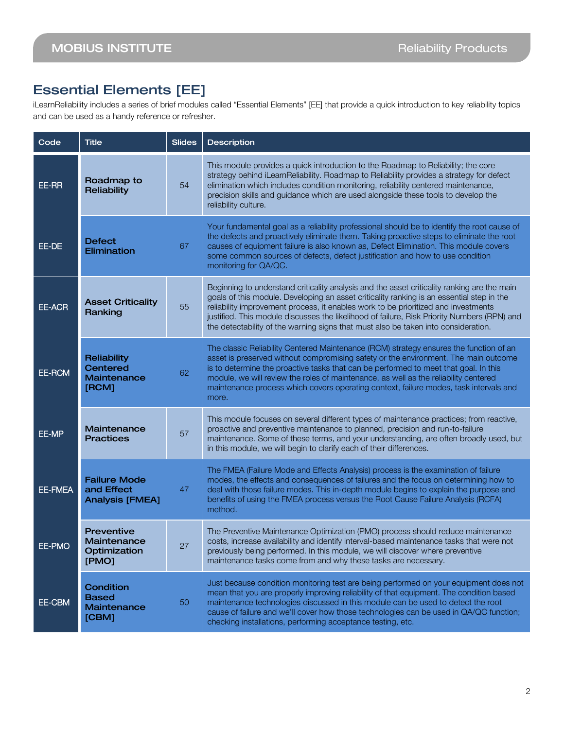### Essential Elements [EE]

iLearnReliability includes a series of brief modules called "Essential Elements" [EE] that provide a quick introduction to key reliability topics and can be used as a handy reference or refresher.

| Code    | <b>Title</b>                                                  | <b>Slides</b> | <b>Description</b>                                                                                                                                                                                                                                                                                                                                                                                                                                                  |
|---------|---------------------------------------------------------------|---------------|---------------------------------------------------------------------------------------------------------------------------------------------------------------------------------------------------------------------------------------------------------------------------------------------------------------------------------------------------------------------------------------------------------------------------------------------------------------------|
| EE-RR   | Roadmap to<br>Reliability                                     | 54            | This module provides a quick introduction to the Roadmap to Reliability; the core<br>strategy behind iLearnReliability. Roadmap to Reliability provides a strategy for defect<br>elimination which includes condition monitoring, reliability centered maintenance,<br>precision skills and guidance which are used alongside these tools to develop the<br>reliability culture.                                                                                    |
| EE-DE   | <b>Defect</b><br>Elimination                                  | 67            | Your fundamental goal as a reliability professional should be to identify the root cause of<br>the defects and proactively eliminate them. Taking proactive steps to eliminate the root<br>causes of equipment failure is also known as, Defect Elimination. This module covers<br>some common sources of defects, defect justification and how to use condition<br>monitoring for QA/QC.                                                                           |
| EE-ACR  | <b>Asset Criticality</b><br>Ranking                           | 55            | Beginning to understand criticality analysis and the asset criticality ranking are the main<br>goals of this module. Developing an asset criticality ranking is an essential step in the<br>reliability improvement process, it enables work to be prioritized and investments<br>justified. This module discusses the likelihood of failure, Risk Priority Numbers (RPN) and<br>the detectability of the warning signs that must also be taken into consideration. |
| EE-RCM  | Reliability<br><b>Centered</b><br><b>Maintenance</b><br>[RCM] | 62            | The classic Reliability Centered Maintenance (RCM) strategy ensures the function of an<br>asset is preserved without compromising safety or the environment. The main outcome<br>is to determine the proactive tasks that can be performed to meet that goal. In this<br>module, we will review the roles of maintenance, as well as the reliability centered<br>maintenance process which covers operating context, failure modes, task intervals and<br>more.     |
| EE-MP   | Maintenance<br><b>Practices</b>                               | 57            | This module focuses on several different types of maintenance practices; from reactive,<br>proactive and preventive maintenance to planned, precision and run-to-failure<br>maintenance. Some of these terms, and your understanding, are often broadly used, but<br>in this module, we will begin to clarify each of their differences.                                                                                                                            |
| EE-FMEA | <b>Failure Mode</b><br>and Effect<br><b>Analysis [FMEA]</b>   | 47            | The FMEA (Failure Mode and Effects Analysis) process is the examination of failure<br>modes, the effects and consequences of failures and the focus on determining how to<br>deal with those failure modes. This in-depth module begins to explain the purpose and<br>benefits of using the FMEA process versus the Root Cause Failure Analysis (RCFA)<br>method.                                                                                                   |
| EE-PMO  | <b>Preventive</b><br>Maintenance<br>Optimization<br>[PMO]     | 27            | The Preventive Maintenance Optimization (PMO) process should reduce maintenance<br>costs, increase availability and identify interval-based maintenance tasks that were not<br>previously being performed. In this module, we will discover where preventive<br>maintenance tasks come from and why these tasks are necessary.                                                                                                                                      |
| EE-CBM  | Condition<br><b>Based</b><br>Maintenance<br>[CBM]             | 50            | Just because condition monitoring test are being performed on your equipment does not<br>mean that you are properly improving reliability of that equipment. The condition based<br>maintenance technologies discussed in this module can be used to detect the root<br>cause of failure and we'll cover how those technologies can be used in QA/QC function;<br>checking installations, performing acceptance testing, etc.                                       |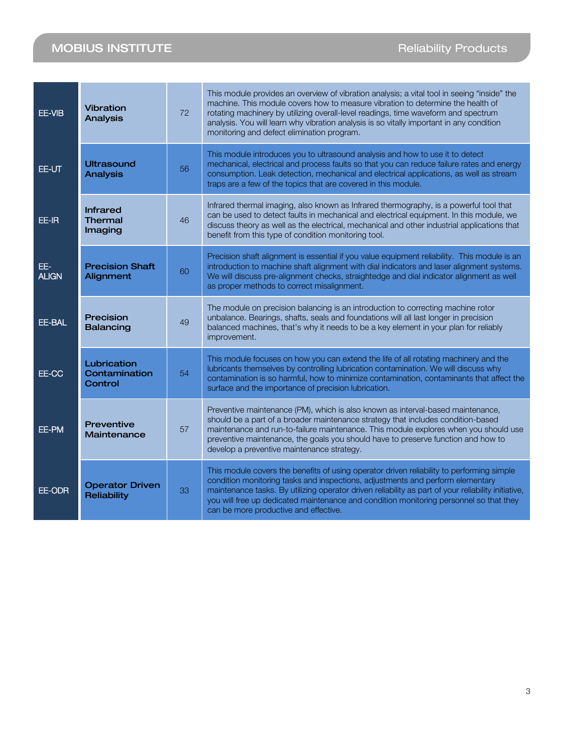| EE-VIB              | <b>Vibration</b><br><b>Analysis</b>          | 72 | This module provides an overview of vibration analysis; a vital tool in seeing "inside" the<br>machine. This module covers how to measure vibration to determine the health of<br>rotating machinery by utilizing overall-level readings, time waveform and spectrum<br>analysis. You will learn why vibration analysis is so vitally important in any condition<br>monitoring and defect elimination program.        |
|---------------------|----------------------------------------------|----|-----------------------------------------------------------------------------------------------------------------------------------------------------------------------------------------------------------------------------------------------------------------------------------------------------------------------------------------------------------------------------------------------------------------------|
| EE-UT               | <b>Ultrasound</b><br><b>Analysis</b>         | 56 | This module introduces you to ultrasound analysis and how to use it to detect<br>mechanical, electrical and process faults so that you can reduce failure rates and energy<br>consumption. Leak detection, mechanical and electrical applications, as well as stream<br>traps are a few of the topics that are covered in this module.                                                                                |
| EE-IR               | <b>Infrared</b><br><b>Thermal</b><br>Imaging | 46 | Infrared thermal imaging, also known as Infrared thermography, is a powerful tool that<br>can be used to detect faults in mechanical and electrical equipment. In this module, we<br>discuss theory as well as the electrical, mechanical and other industrial applications that<br>benefit from this type of condition monitoring tool.                                                                              |
| EE-<br><b>ALIGN</b> | <b>Precision Shaft</b><br>Alignment          | 60 | Precision shaft alignment is essential if you value equipment reliability. This module is an<br>introduction to machine shaft alignment with dial indicators and laser alignment systems.<br>We will discuss pre-alignment checks, straightedge and dial indicator alignment as well<br>as proper methods to correct misalignment.                                                                                    |
| EE-BAL              | Precision<br><b>Balancing</b>                | 49 | The module on precision balancing is an introduction to correcting machine rotor<br>unbalance. Bearings, shafts, seals and foundations will all last longer in precision<br>balanced machines, that's why it needs to be a key element in your plan for reliably<br>improvement.                                                                                                                                      |
| EE-CC               | Lubrication<br>Contamination<br>Control      | 54 | This module focuses on how you can extend the life of all rotating machinery and the<br>lubricants themselves by controlling lubrication contamination. We will discuss why<br>contamination is so harmful, how to minimize contamination, contaminants that affect the<br>surface and the importance of precision lubrication.                                                                                       |
| EE-PM               | <b>Preventive</b><br><b>Maintenance</b>      | 57 | Preventive maintenance (PM), which is also known as interval-based maintenance,<br>should be a part of a broader maintenance strategy that includes condition-based<br>maintenance and run-to-failure maintenance. This module explores when you should use<br>preventive maintenance, the goals you should have to preserve function and how to<br>develop a preventive maintenance strategy.                        |
| EE-ODR              | <b>Operator Driven</b><br>Reliability        | 33 | This module covers the benefits of using operator driven reliability to performing simple<br>condition monitoring tasks and inspections, adjustments and perform elementary<br>maintenance tasks. By utilizing operator driven reliability as part of your reliability initiative,<br>you will free up dedicated maintenance and condition monitoring personnel so that they<br>can be more productive and effective. |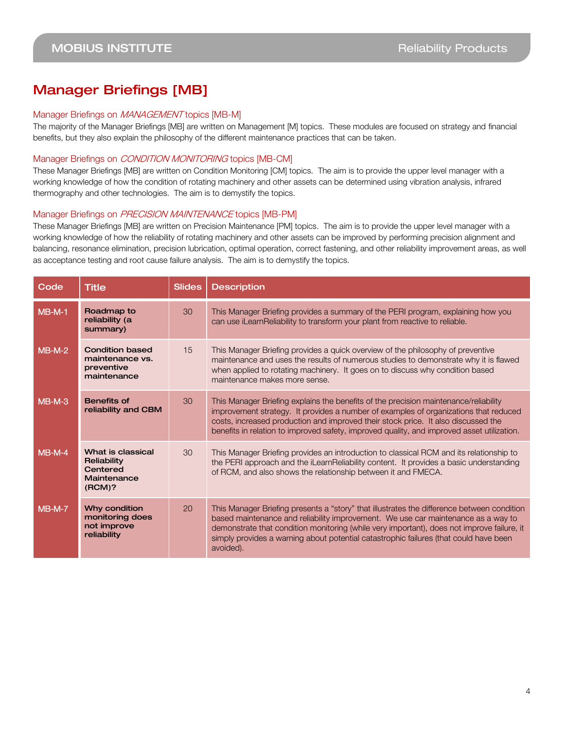### Manager Briefings [MB]

#### Manager Briefings on MANAGEMENT topics [MB-M]

The majority of the Manager Briefings [MB] are written on Management [M] topics. These modules are focused on strategy and financial benefits, but they also explain the philosophy of the different maintenance practices that can be taken.

#### Manager Briefings on CONDITION MONITORING topics [MB-CM]

These Manager Briefings [MB] are written on Condition Monitoring [CM] topics. The aim is to provide the upper level manager with a working knowledge of how the condition of rotating machinery and other assets can be determined using vibration analysis, infrared thermography and other technologies. The aim is to demystify the topics.

#### Manager Briefings on PRECISION MAINTENANCE topics [MB-PM]

These Manager Briefings [MB] are written on Precision Maintenance [PM] topics. The aim is to provide the upper level manager with a working knowledge of how the reliability of rotating machinery and other assets can be improved by performing precision alignment and balancing, resonance elimination, precision lubrication, optimal operation, correct fastening, and other reliability improvement areas, as well as acceptance testing and root cause failure analysis. The aim is to demystify the topics.

| Code     | <b>Title</b>                                                           | <b>Slides</b> | <b>Description</b>                                                                                                                                                                                                                                                                                                                                                                  |
|----------|------------------------------------------------------------------------|---------------|-------------------------------------------------------------------------------------------------------------------------------------------------------------------------------------------------------------------------------------------------------------------------------------------------------------------------------------------------------------------------------------|
| $MB-M-1$ | Roadmap to<br>reliability (a<br>summary)                               | 30            | This Manager Briefing provides a summary of the PERI program, explaining how you<br>can use iLearnReliability to transform your plant from reactive to reliable.                                                                                                                                                                                                                    |
| $MB-M-2$ | <b>Condition based</b><br>maintenance vs.<br>preventive<br>maintenance | 15            | This Manager Briefing provides a quick overview of the philosophy of preventive<br>maintenance and uses the results of numerous studies to demonstrate why it is flawed<br>when applied to rotating machinery. It goes on to discuss why condition based<br>maintenance makes more sense.                                                                                           |
| $MB-M-3$ | <b>Benefits of</b><br>reliability and CBM                              | 30            | This Manager Briefing explains the benefits of the precision maintenance/reliability<br>improvement strategy. It provides a number of examples of organizations that reduced<br>costs, increased production and improved their stock price. It also discussed the<br>benefits in relation to improved safety, improved quality, and improved asset utilization.                     |
| $MB-M-4$ | What is classical<br>Reliability<br>Centered<br>Maintenance<br>(RCM)?  | 30            | This Manager Briefing provides an introduction to classical RCM and its relationship to<br>the PERI approach and the iLearnReliability content. It provides a basic understanding<br>of RCM, and also shows the relationship between it and FMECA.                                                                                                                                  |
| $MB-M-7$ | Why condition<br>monitoring does<br>not improve<br>reliability         | 20            | This Manager Briefing presents a "story" that illustrates the difference between condition<br>based maintenance and reliability improvement. We use car maintenance as a way to<br>demonstrate that condition monitoring (while very important), does not improve failure, it<br>simply provides a warning about potential catastrophic failures (that could have been<br>avoided). |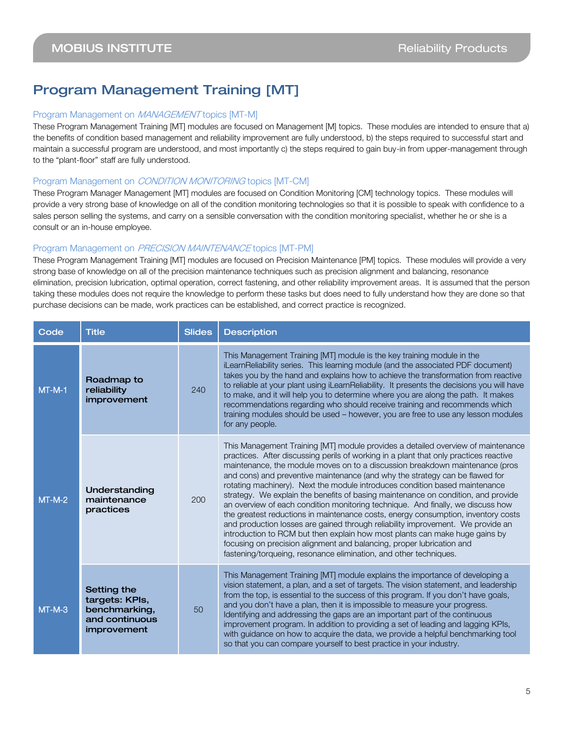### Program Management Training [MT]

#### Program Management on MANAGEMENT topics [MT-M]

These Program Management Training [MT] modules are focused on Management [M] topics. These modules are intended to ensure that a) the benefits of condition based management and reliability improvement are fully understood, b) the steps required to successful start and maintain a successful program are understood, and most importantly c) the steps required to gain buy-in from upper-management through to the "plant-floor" staff are fully understood.

#### Program Management on CONDITION MONITORING topics [MT-CM]

These Program Manager Management [MT] modules are focused on Condition Monitoring [CM] technology topics. These modules will provide a very strong base of knowledge on all of the condition monitoring technologies so that it is possible to speak with confidence to a sales person selling the systems, and carry on a sensible conversation with the condition monitoring specialist, whether he or she is a consult or an in-house employee.

#### Program Management on PRECISION MAINTENANCE topics [MT-PM]

These Program Management Training [MT] modules are focused on Precision Maintenance [PM] topics. These modules will provide a very strong base of knowledge on all of the precision maintenance techniques such as precision alignment and balancing, resonance elimination, precision lubrication, optimal operation, correct fastening, and other reliability improvement areas. It is assumed that the person taking these modules does not require the knowledge to perform these tasks but does need to fully understand how they are done so that purchase decisions can be made, work practices can be established, and correct practice is recognized.

| Code     | <b>Title</b>                                                                    | <b>Slides</b> | <b>Description</b>                                                                                                                                                                                                                                                                                                                                                                                                                                                                                                                                                                                                                                                                                                                                                                                                                                                                                                                                                                                    |
|----------|---------------------------------------------------------------------------------|---------------|-------------------------------------------------------------------------------------------------------------------------------------------------------------------------------------------------------------------------------------------------------------------------------------------------------------------------------------------------------------------------------------------------------------------------------------------------------------------------------------------------------------------------------------------------------------------------------------------------------------------------------------------------------------------------------------------------------------------------------------------------------------------------------------------------------------------------------------------------------------------------------------------------------------------------------------------------------------------------------------------------------|
| $MT-M-1$ | Roadmap to<br>reliability<br>improvement                                        | 240           | This Management Training [MT] module is the key training module in the<br>iLearnReliability series. This learning module (and the associated PDF document)<br>takes you by the hand and explains how to achieve the transformation from reactive<br>to reliable at your plant using iLearnReliability. It presents the decisions you will have<br>to make, and it will help you to determine where you are along the path. It makes<br>recommendations regarding who should receive training and recommends which<br>training modules should be used - however, you are free to use any lesson modules<br>for any people.                                                                                                                                                                                                                                                                                                                                                                             |
| $MT-M-2$ | Understanding<br>maintenance<br>practices                                       | 200           | This Management Training [MT] module provides a detailed overview of maintenance<br>practices. After discussing perils of working in a plant that only practices reactive<br>maintenance, the module moves on to a discussion breakdown maintenance (pros<br>and cons) and preventive maintenance (and why the strategy can be flawed for<br>rotating machinery). Next the module introduces condition based maintenance<br>strategy. We explain the benefits of basing maintenance on condition, and provide<br>an overview of each condition monitoring technique. And finally, we discuss how<br>the greatest reductions in maintenance costs, energy consumption, inventory costs<br>and production losses are gained through reliability improvement. We provide an<br>introduction to RCM but then explain how most plants can make huge gains by<br>focusing on precision alignment and balancing, proper lubrication and<br>fastening/torqueing, resonance elimination, and other techniques. |
| $MT-M-3$ | Setting the<br>targets: KPIs,<br>benchmarking,<br>and continuous<br>improvement | 50            | This Management Training [MT] module explains the importance of developing a<br>vision statement, a plan, and a set of targets. The vision statement, and leadership<br>from the top, is essential to the success of this program. If you don't have goals,<br>and you don't have a plan, then it is impossible to measure your progress.<br>Identifying and addressing the gaps are an important part of the continuous<br>improvement program. In addition to providing a set of leading and lagging KPIs,<br>with guidance on how to acquire the data, we provide a helpful benchmarking tool<br>so that you can compare yourself to best practice in your industry.                                                                                                                                                                                                                                                                                                                               |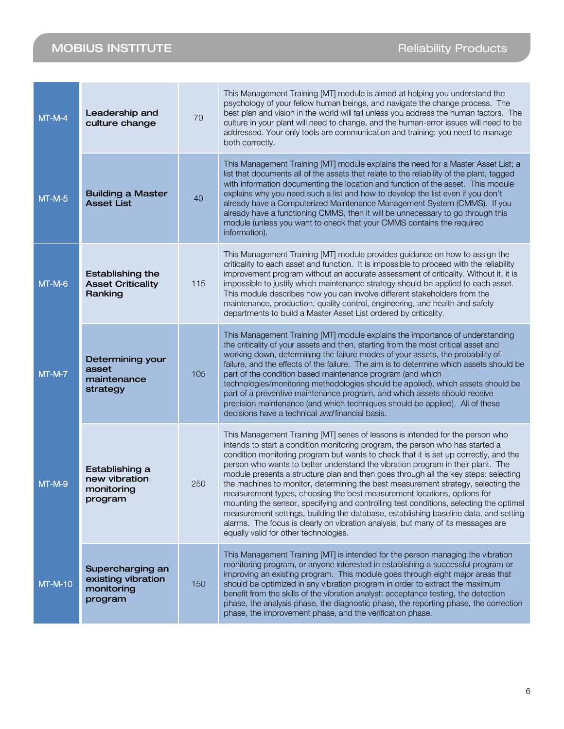**Contract Contract** 

| $MT-M-4$       | Leadership and<br>culture change                                | 70  | This Management Training [MT] module is aimed at helping you understand the<br>psychology of your fellow human beings, and navigate the change process. The<br>best plan and vision in the world will fail unless you address the human factors. The<br>culture in your plant will need to change, and the human-error issues will need to be<br>addressed. Your only tools are communication and training; you need to manage<br>both correctly.                                                                                                                                                                                                                                                                                                                                                                                                                                                                |
|----------------|-----------------------------------------------------------------|-----|------------------------------------------------------------------------------------------------------------------------------------------------------------------------------------------------------------------------------------------------------------------------------------------------------------------------------------------------------------------------------------------------------------------------------------------------------------------------------------------------------------------------------------------------------------------------------------------------------------------------------------------------------------------------------------------------------------------------------------------------------------------------------------------------------------------------------------------------------------------------------------------------------------------|
| $MT-M-5$       | <b>Building a Master</b><br><b>Asset List</b>                   | 40  | This Management Training [MT] module explains the need for a Master Asset List; a<br>list that documents all of the assets that relate to the reliability of the plant, tagged<br>with information documenting the location and function of the asset. This module<br>explains why you need such a list and how to develop the list even if you don't<br>already have a Computerized Maintenance Management System (CMMS). If you<br>already have a functioning CMMS, then it will be unnecessary to go through this<br>module (unless you want to check that your CMMS contains the required<br>information).                                                                                                                                                                                                                                                                                                   |
| $MT-M-6$       | <b>Establishing the</b><br><b>Asset Criticality</b><br>Ranking  | 115 | This Management Training [MT] module provides guidance on how to assign the<br>criticality to each asset and function. It is impossible to proceed with the reliability<br>improvement program without an accurate assessment of criticality. Without it, it is<br>impossible to justify which maintenance strategy should be applied to each asset.<br>This module describes how you can involve different stakeholders from the<br>maintenance, production, quality control, engineering, and health and safety<br>departments to build a Master Asset List ordered by criticality.                                                                                                                                                                                                                                                                                                                            |
| $MT-M-7$       | Determining your<br>asset<br>maintenance<br>strategy            | 105 | This Management Training [MT] module explains the importance of understanding<br>the criticality of your assets and then, starting from the most critical asset and<br>working down, determining the failure modes of your assets, the probability of<br>failure, and the effects of the failure. The aim is to determine which assets should be<br>part of the condition based maintenance program (and which<br>technologies/monitoring methodologies should be applied), which assets should be<br>part of a preventive maintenance program, and which assets should receive<br>precision maintenance (and which techniques should be applied). All of these<br>decisions have a technical <i>and</i> financial basis.                                                                                                                                                                                        |
| $MT-M-9$       | Establishing a<br>new vibration<br>monitoring<br>program        | 250 | This Management Training [MT] series of lessons is intended for the person who<br>intends to start a condition monitoring program, the person who has started a<br>condition monitoring program but wants to check that it is set up correctly, and the<br>person who wants to better understand the vibration program in their plant. The<br>module presents a structure plan and then goes through all the key steps: selecting<br>the machines to monitor, determining the best measurement strategy, selecting the<br>measurement types, choosing the best measurement locations, options for<br>mounting the sensor, specifying and controlling test conditions, selecting the optimal<br>measurement settings, building the database, establishing baseline data, and setting<br>alarms. The focus is clearly on vibration analysis, but many of its messages are<br>equally valid for other technologies. |
| <b>MT-M-10</b> | Supercharging an<br>existing vibration<br>monitoring<br>program | 150 | This Management Training [MT] is intended for the person managing the vibration<br>monitoring program, or anyone interested in establishing a successful program or<br>improving an existing program. This module goes through eight major areas that<br>should be optimized in any vibration program in order to extract the maximum<br>benefit from the skills of the vibration analyst: acceptance testing, the detection<br>phase, the analysis phase, the diagnostic phase, the reporting phase, the correction<br>phase, the improvement phase, and the verification phase.                                                                                                                                                                                                                                                                                                                                |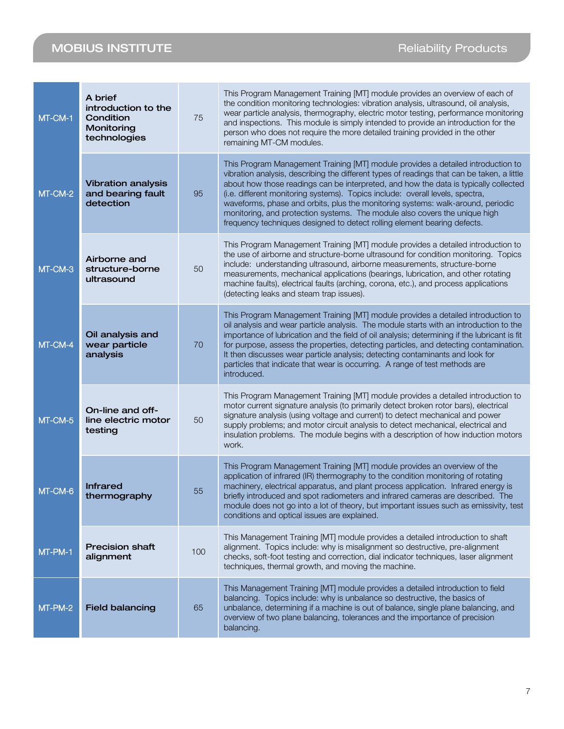| MT-CM-1   | A brief<br>introduction to the<br>Condition<br>Monitoring<br>technologies | 75  | This Program Management Training [MT] module provides an overview of each of<br>the condition monitoring technologies: vibration analysis, ultrasound, oil analysis,<br>wear particle analysis, thermography, electric motor testing, performance monitoring<br>and inspections. This module is simply intended to provide an introduction for the<br>person who does not require the more detailed training provided in the other<br>remaining MT-CM modules.                                                                                                                                       |
|-----------|---------------------------------------------------------------------------|-----|------------------------------------------------------------------------------------------------------------------------------------------------------------------------------------------------------------------------------------------------------------------------------------------------------------------------------------------------------------------------------------------------------------------------------------------------------------------------------------------------------------------------------------------------------------------------------------------------------|
| MT-CM-2   | <b>Vibration analysis</b><br>and bearing fault<br>detection               | 95  | This Program Management Training [MT] module provides a detailed introduction to<br>vibration analysis, describing the different types of readings that can be taken, a little<br>about how those readings can be interpreted, and how the data is typically collected<br>(i.e. different monitoring systems). Topics include: overall levels, spectra,<br>waveforms, phase and orbits, plus the monitoring systems: walk-around, periodic<br>monitoring, and protection systems. The module also covers the unique high<br>frequency techniques designed to detect rolling element bearing defects. |
| MT-CM-3   | Airborne and<br>structure-borne<br>ultrasound                             | 50  | This Program Management Training [MT] module provides a detailed introduction to<br>the use of airborne and structure-borne ultrasound for condition monitoring. Topics<br>include: understanding ultrasound, airborne measurements, structure-borne<br>measurements, mechanical applications (bearings, lubrication, and other rotating<br>machine faults), electrical faults (arching, corona, etc.), and process applications<br>(detecting leaks and steam trap issues).                                                                                                                         |
| MT-CM-4   | Oil analysis and<br>wear particle<br>analysis                             | 70  | This Program Management Training [MT] module provides a detailed introduction to<br>oil analysis and wear particle analysis. The module starts with an introduction to the<br>importance of lubrication and the field of oil analysis; determining if the lubricant is fit<br>for purpose, assess the properties, detecting particles, and detecting contamination.<br>It then discusses wear particle analysis; detecting contaminants and look for<br>particles that indicate that wear is occurring. A range of test methods are<br>introduced.                                                   |
| $MT-CM-5$ | On-line and off-<br>line electric motor<br>testing                        | 50  | This Program Management Training [MT] module provides a detailed introduction to<br>motor current signature analysis (to primarily detect broken rotor bars), electrical<br>signature analysis (using voltage and current) to detect mechanical and power<br>supply problems; and motor circuit analysis to detect mechanical, electrical and<br>insulation problems. The module begins with a description of how induction motors<br>work.                                                                                                                                                          |
| MT-CM-6   | <b>Infrared</b><br>thermography                                           | 55  | This Program Management Training [MT] module provides an overview of the<br>application of infrared (IR) thermography to the condition monitoring of rotating<br>machinery, electrical apparatus, and plant process application. Infrared energy is<br>briefly introduced and spot radiometers and infrared cameras are described. The<br>module does not go into a lot of theory, but important issues such as emissivity, test<br>conditions and optical issues are explained.                                                                                                                     |
| MT-PM-1   | <b>Precision shaft</b><br>alignment                                       | 100 | This Management Training [MT] module provides a detailed introduction to shaft<br>alignment. Topics include: why is misalignment so destructive, pre-alignment<br>checks, soft-foot testing and correction, dial indicator techniques, laser alignment<br>techniques, thermal growth, and moving the machine.                                                                                                                                                                                                                                                                                        |
| MT-PM-2   | <b>Field balancing</b>                                                    | 65  | This Management Training [MT] module provides a detailed introduction to field<br>balancing. Topics include: why is unbalance so destructive, the basics of<br>unbalance, determining if a machine is out of balance, single plane balancing, and<br>overview of two plane balancing, tolerances and the importance of precision<br>balancing.                                                                                                                                                                                                                                                       |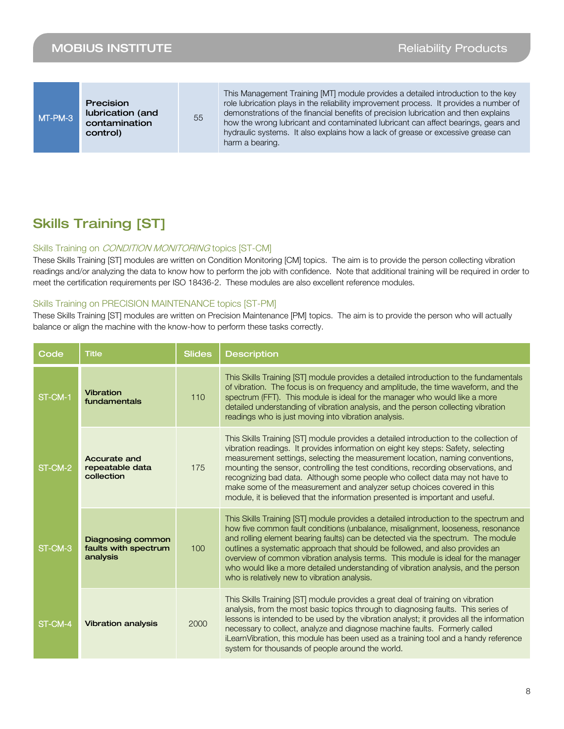### Skills Training [ST]

#### Skills Training on *CONDITION MONITORING* topics [ST-CM]

These Skills Training [ST] modules are written on Condition Monitoring [CM] topics. The aim is to provide the person collecting vibration readings and/or analyzing the data to know how to perform the job with confidence. Note that additional training will be required in order to meet the certification requirements per ISO 18436-2. These modules are also excellent reference modules.

#### Skills Training on PRECISION MAINTENANCE topics [ST-PM]

These Skills Training [ST] modules are written on Precision Maintenance [PM] topics. The aim is to provide the person who will actually balance or align the machine with the know-how to perform these tasks correctly.

| Code    | <b>Title</b>                                                 | <b>Slides</b>    | <b>Description</b>                                                                                                                                                                                                                                                                                                                                                                                                                                                                                                                                                                            |
|---------|--------------------------------------------------------------|------------------|-----------------------------------------------------------------------------------------------------------------------------------------------------------------------------------------------------------------------------------------------------------------------------------------------------------------------------------------------------------------------------------------------------------------------------------------------------------------------------------------------------------------------------------------------------------------------------------------------|
| ST-CM-1 | <b>Vibration</b><br>fundamentals                             | 110              | This Skills Training [ST] module provides a detailed introduction to the fundamentals<br>of vibration. The focus is on frequency and amplitude, the time waveform, and the<br>spectrum (FFT). This module is ideal for the manager who would like a more<br>detailed understanding of vibration analysis, and the person collecting vibration<br>readings who is just moving into vibration analysis.                                                                                                                                                                                         |
| ST-CM-2 | <b>Accurate and</b><br>repeatable data<br>collection         | 175              | This Skills Training [ST] module provides a detailed introduction to the collection of<br>vibration readings. It provides information on eight key steps: Safety, selecting<br>measurement settings, selecting the measurement location, naming conventions,<br>mounting the sensor, controlling the test conditions, recording observations, and<br>recognizing bad data. Although some people who collect data may not have to<br>make some of the measurement and analyzer setup choices covered in this<br>module, it is believed that the information presented is important and useful. |
| ST-CM-3 | <b>Diagnosing common</b><br>faults with spectrum<br>analysis | 100 <sub>1</sub> | This Skills Training [ST] module provides a detailed introduction to the spectrum and<br>how five common fault conditions (unbalance, misalignment, looseness, resonance<br>and rolling element bearing faults) can be detected via the spectrum. The module<br>outlines a systematic approach that should be followed, and also provides an<br>overview of common vibration analysis terms. This module is ideal for the manager<br>who would like a more detailed understanding of vibration analysis, and the person<br>who is relatively new to vibration analysis.                       |
| ST-CM-4 | <b>Vibration analysis</b>                                    | 2000             | This Skills Training [ST] module provides a great deal of training on vibration<br>analysis, from the most basic topics through to diagnosing faults. This series of<br>lessons is intended to be used by the vibration analyst; it provides all the information<br>necessary to collect, analyze and diagnose machine faults. Formerly called<br>iLearnVibration, this module has been used as a training tool and a handy reference<br>system for thousands of people around the world.                                                                                                     |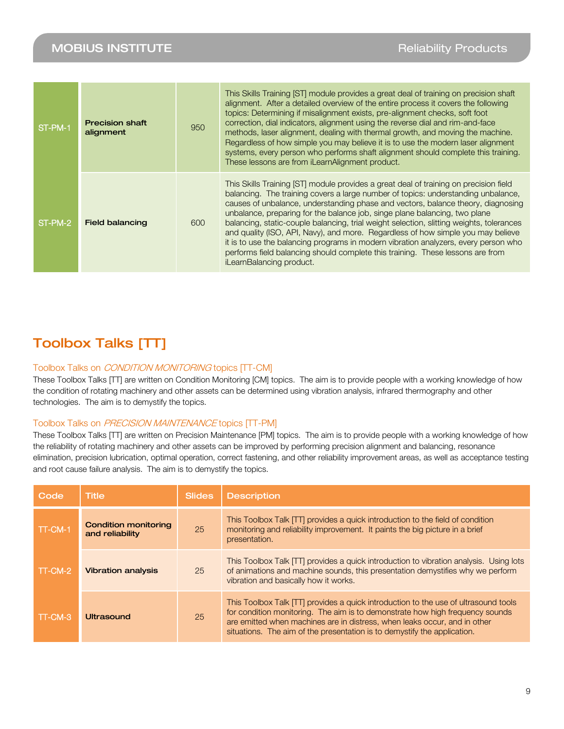| ST-PM-1 | <b>Precision shaft</b><br>alignment | 950 | This Skills Training [ST] module provides a great deal of training on precision shaft<br>alignment. After a detailed overview of the entire process it covers the following<br>topics: Determining if misalignment exists, pre-alignment checks, soft foot<br>correction, dial indicators, alignment using the reverse dial and rim-and-face<br>methods, laser alignment, dealing with thermal growth, and moving the machine.<br>Regardless of how simple you may believe it is to use the modern laser alignment<br>systems, every person who performs shaft alignment should complete this training.<br>These lessons are from iLearnAlignment product.                                                                        |
|---------|-------------------------------------|-----|-----------------------------------------------------------------------------------------------------------------------------------------------------------------------------------------------------------------------------------------------------------------------------------------------------------------------------------------------------------------------------------------------------------------------------------------------------------------------------------------------------------------------------------------------------------------------------------------------------------------------------------------------------------------------------------------------------------------------------------|
| ST-PM-2 | <b>Field balancing</b>              | 600 | This Skills Training [ST] module provides a great deal of training on precision field<br>balancing. The training covers a large number of topics: understanding unbalance,<br>causes of unbalance, understanding phase and vectors, balance theory, diagnosing<br>unbalance, preparing for the balance job, singe plane balancing, two plane<br>balancing, static-couple balancing, trial weight selection, slitting weights, tolerances<br>and quality (ISO, API, Navy), and more. Regardless of how simple you may believe<br>it is to use the balancing programs in modern vibration analyzers, every person who<br>performs field balancing should complete this training. These lessons are from<br>iLearnBalancing product. |

# Toolbox Talks [TT]

#### Toolbox Talks on CONDITION MONITORING topics [TT-CM]

These Toolbox Talks [TT] are written on Condition Monitoring [CM] topics. The aim is to provide people with a working knowledge of how the condition of rotating machinery and other assets can be determined using vibration analysis, infrared thermography and other technologies. The aim is to demystify the topics.

#### Toolbox Talks on PRECISION MAINTENANCE topics [TT-PM]

These Toolbox Talks [TT] are written on Precision Maintenance [PM] topics. The aim is to provide people with a working knowledge of how the reliability of rotating machinery and other assets can be improved by performing precision alignment and balancing, resonance elimination, precision lubrication, optimal operation, correct fastening, and other reliability improvement areas, as well as acceptance testing and root cause failure analysis. The aim is to demystify the topics.

| Code    | <b>Title</b>                                   | Slides | <b>Description</b>                                                                                                                                                                                                                                                                                                            |
|---------|------------------------------------------------|--------|-------------------------------------------------------------------------------------------------------------------------------------------------------------------------------------------------------------------------------------------------------------------------------------------------------------------------------|
| TT-CM-1 | <b>Condition monitoring</b><br>and reliability | 25     | This Toolbox Talk [TT] provides a quick introduction to the field of condition<br>monitoring and reliability improvement. It paints the big picture in a brief<br>presentation.                                                                                                                                               |
| TT-CM-2 | <b>Vibration analysis</b>                      | 25     | This Toolbox Talk [TT] provides a quick introduction to vibration analysis. Using lots<br>of animations and machine sounds, this presentation demystifies why we perform<br>vibration and basically how it works.                                                                                                             |
| TT-CM-3 | Ultrasound                                     | 25     | This Toolbox Talk [TT] provides a quick introduction to the use of ultrasound tools<br>for condition monitoring. The aim is to demonstrate how high frequency sounds<br>are emitted when machines are in distress, when leaks occur, and in other<br>situations. The aim of the presentation is to demystify the application. |